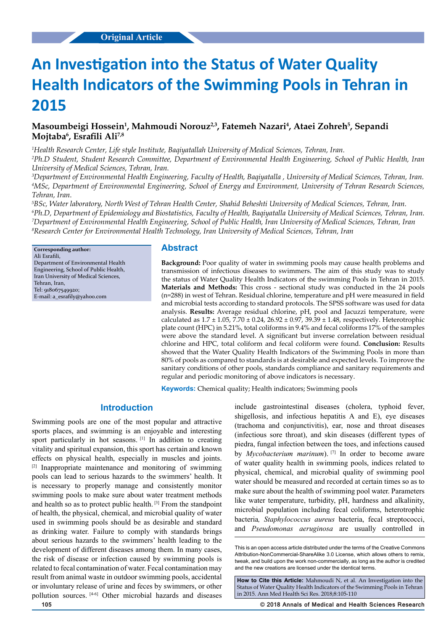# **An Investigation into the Status of Water Quality Health Indicators of the Swimming Pools in Tehran in 2015**

# Masoumbeigi Hossein<sup>1</sup>, Mahmoudi Norouz<sup>2,3</sup>, Fatemeh Nazari<sup>4</sup>, Ataei Zohreh<sup>5</sup>, Sepandi **Mojtaba6 , Esrafili Ali7,8**

*1 Health Research Center, Life style Institute, Baqiyatallah University of Medical Sciences, Tehran, Iran.* 

*2 Ph.D Student, Student Research Committee, Department of Environmental Health Engineering, School of Public Health, Iran University of Medical Sciences, Tehran, Iran.*

*3 Department of Environmental Health Engineering, Faculty of Health, Baqiyatalla , University of Medical Sciences, Tehran, Iran. 4 MSc, Department of Environmental Engineering, School of Energy and Environment, University of Tehran Research Sciences, Tehran, Iran.* 

<sup>5</sup>BSc, Water laboratory, North West of Tehran Health Center, Shahid Beheshti University of Medical Sciences, Tehran, Iran. *Ph.D, Department of Epidemiology and Biostatistics, Faculty of Health, Baqiyatalla University of Medical Sciences, Tehran, Iran. Department of Environmental Health Engineering, School of Public Health, Iran University of Medical Sciences, Tehran, Iran Research Center for Environmental Health Technology, Iran University of Medical Sciences, Tehran, Iran*

**Corresponding author:** Ali Esrafili, Department of Environmental Health Engineering, School of Public Health, Iran University of Medical Sciences, Tehran, Iran, Tel: 918067549920; E-mail: [a\\_esrafily@yahoo.com](mailto:a_esrafily@yahoo.com)

### **Abstract**

**Background:** Poor quality of water in swimming pools may cause health problems and transmission of infectious diseases to swimmers. The aim of this study was to study the status of Water Quality Health Indicators of the swimming Pools in Tehran in 2015. **Materials and Methods:** This cross - sectional study was conducted in the 24 pools (n=288) in west of Tehran. Residual chlorine, temperature and pH were measured in field and microbial tests according to standard protocols. The SPSS software was used for data analysis. **Results:** Average residual chlorine, pH, pool and Jacuzzi temperature, were calculated as  $1.7 \pm 1.05$ ,  $7.70 \pm 0.24$ ,  $26.92 \pm 0.97$ ,  $39.39 \pm 1.48$ , respectively. Heterotrophic plate count (HPC) in 5.21%, total coliforms in 9.4% and fecal coliforms 17% of the samples were above the standard level. A significant but inverse correlation between residual chlorine and HPC, total coliform and fecal coliform were found. **Conclusion:** Results showed that the Water Quality Health Indicators of the Swimming Pools in more than 80% of pools as compared to standards is at desirable and expected levels. To improve the sanitary conditions of other pools, standards compliance and sanitary requirements and regular and periodic monitoring of above indicators is necessary.

**Keywords:** Chemical quality; Health indicators; Swimming pools

# **Introduction**

Swimming pools are one of the most popular and attractive sports places, and swimming is an enjoyable and interesting sport particularly in hot seasons. [1] In addition to creating vitality and spiritual expansion, this sport has certain and known effects on physical health, especially in muscles and joints. [2] Inappropriate maintenance and monitoring of swimming pools can lead to serious hazards to the swimmers' health. It is necessary to properly manage and consistently monitor swimming pools to make sure about water treatment methods and health so as to protect public health. [3] From the standpoint of health, the physical, chemical, and microbial quality of water used in swimming pools should be as desirable and standard as drinking water. Failure to comply with standards brings about serious hazards to the swimmers' health leading to the development of different diseases among them. In many cases, the risk of disease or infection caused by swimming pools is related to fecal contamination of water. Fecal contamination may result from animal waste in outdoor swimming pools, accidental or involuntary release of urine and feces by swimmers, or other pollution sources. [4-6] Other microbial hazards and diseases

include gastrointestinal diseases (cholera, typhoid fever, shigellosis, and infectious hepatitis A and E), eye diseases (trachoma and conjunctivitis), ear, nose and throat diseases (infectious sore throat), and skin diseases (different types of piedra, fungal infection between the toes, and infections caused by *Mycobacterium marinum*). <sup>[7]</sup> In order to become aware of water quality health in swimming pools, indices related to physical, chemical, and microbial quality of swimming pool water should be measured and recorded at certain times so as to make sure about the health of swimming pool water. Parameters like water temperature, turbidity, pH, hardness and alkalinity, microbial population including fecal coliforms, heterotrophic bacteria*, Staphylococcus aureus* bacteria, fecal streptococci, and *Pseudomonas aeruginosa* are usually controlled in

**How to Cite this Article:** Mahmoudi N, et al. An Investigation into the Status of Water Quality Health Indicators of the Swimming Pools in Tehran in 2015. Ann Med Health Sci Res. 2018;8:105-110

**105 © 2018 Annals of Medical and Health Sciences Research** 

This is an open access article distributed under the terms of the Creative Commons Attribution-NonCommercial-ShareAlike 3.0 License, which allows others to remix, tweak, and build upon the work non‑commercially, as long as the author is credited and the new creations are licensed under the identical terms.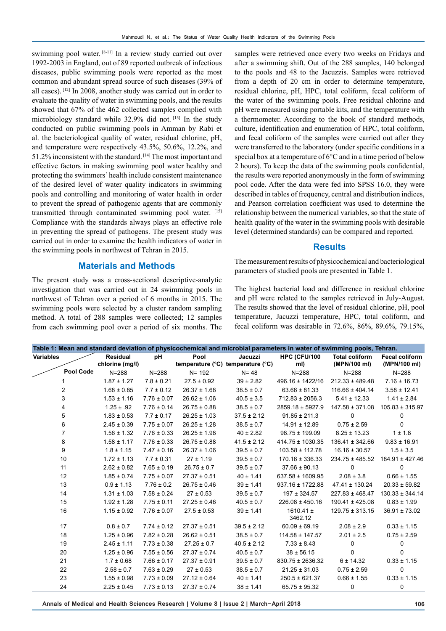swimming pool water. [8-11] In a review study carried out over 1992-2003 in England, out of 89 reported outbreak of infectious diseases, public swimming pools were reported as the most common and abundant spread source of such diseases (39% of all cases). [12] In 2008, another study was carried out in order to evaluate the quality of water in swimming pools, and the results showed that 67% of the 462 collected samples complied with microbiology standard while 32.9% did not. [13] In the study conducted on public swimming pools in Amman by Rabi et al. the bacteriological quality of water, residual chlorine, pH, and temperature were respectively 43.5%, 50.6%, 12.2%, and 51.2% inconsistent with the standard. [14] The most important and effective factors in making swimming pool water healthy and protecting the swimmers' health include consistent maintenance of the desired level of water quality indicators in swimming pools and controlling and monitoring of water health in order to prevent the spread of pathogenic agents that are commonly transmitted through contaminated swimming pool water. [15] Compliance with the standards always plays an effective role in preventing the spread of pathogens. The present study was carried out in order to examine the health indicators of water in the swimming pools in northwest of Tehran in 2015.

# **Materials and Methods**

The present study was a cross-sectional descriptive-analytic investigation that was carried out in 24 swimming pools in northwest of Tehran over a period of 6 months in 2015. The swimming pools were selected by a cluster random sampling method. A total of 288 samples were collected; 12 samples from each swimming pool over a period of six months. The samples were retrieved once every two weeks on Fridays and after a swimming shift. Out of the 288 samples, 140 belonged to the pools and 48 to the Jacuzzis. Samples were retrieved from a depth of 20 cm in order to determine temperature, residual chlorine, pH, HPC, total coliform, fecal coliform of the water of the swimming pools. Free residual chlorine and pH were measured using portable kits, and the temperature with a thermometer. According to the book of standard methods, culture, identification and enumeration of HPC, total coliform, and fecal coliform of the samples were carried out after they were transferred to the laboratory (under specific conditions in a special box at a temperature of 6°C and in a time period of below 2 hours). To keep the data of the swimming pools confidential, the results were reported anonymously in the form of swimming pool code. After the data were fed into SPSS 16.0, they were described in tables of frequency, central and distribution indices, and Pearson correlation coefficient was used to determine the relationship between the numerical variables, so that the state of health quality of the water in the swimming pools with desirable level (determined standards) can be compared and reported.

### **Results**

The measurement results of physicochemical and bacteriological parameters of studied pools are presented in Table 1.

The highest bacterial load and difference in residual chlorine and pH were related to the samples retrieved in July-August. The results showed that the level of residual chlorine, pH, pool temperature, Jacuzzi temperature, HPC, total coliform, and fecal coliform was desirable in 72.6%, 86%, 89.6%, 79.15%,

| Table 1: Mean and standard deviation of physicochemical and microbial parameters in water of swimming pools, Tehran. |                 |                 |                  |                                   |                          |                       |                       |  |  |  |  |
|----------------------------------------------------------------------------------------------------------------------|-----------------|-----------------|------------------|-----------------------------------|--------------------------|-----------------------|-----------------------|--|--|--|--|
| <b>Variables</b>                                                                                                     | <b>Residual</b> | pH              | Pool             | Jacuzzi                           | HPC (CFU/100             | <b>Total coliform</b> | <b>Fecal coliform</b> |  |  |  |  |
|                                                                                                                      | chlorine (mg/l) |                 |                  | temperature (°C) temperature (°C) | ml)                      | (MPN/100 ml)          | (MPN/100 ml)          |  |  |  |  |
| <b>Pool Code</b>                                                                                                     | $N = 288$       | $N = 288$       | $N = 192$        | $N = 48$                          | $N = 288$                | $N = 288$             | $N = 288$             |  |  |  |  |
|                                                                                                                      | $1.87 \pm 1.27$ | $7.8 \pm 0.21$  | $27.5 \pm 0.92$  | $39 \pm 2.82$                     | 496.16 ± 1422/16         | $212.33 \pm 489.48$   | $7.16 \pm 16.73$      |  |  |  |  |
| 2                                                                                                                    | $1.68 \pm 0.85$ | $7.7 \pm 0.12$  | $26.37 \pm 1.68$ | $38.5 \pm 0.7$                    | $63.66 \pm 81.33$        | $116.66 \pm 404.14$   | $3.58 \pm 12.41$      |  |  |  |  |
| 3                                                                                                                    | $1.53 \pm 1.16$ | $7.76 \pm 0.07$ | $26.62 \pm 1.06$ | $40.5 \pm 3.5$                    | $712.83 \pm 2056.3$      | $5.41 \pm 12.33$      | $1.41 \pm 2.84$       |  |  |  |  |
| 4                                                                                                                    | $1.25 \pm .92$  | $7.76 \pm 0.14$ | $26.75 \pm 0.88$ | $38.5 \pm 0.7$                    | 2859.18 ± 5927.9         | $147.58 \pm 371.08$   | $105.83 \pm 315.97$   |  |  |  |  |
| 5                                                                                                                    | $1.83 \pm 0.53$ | $7.7 \pm 0.17$  | $26.25 \pm 1.03$ | $37.5 \pm 2.12$                   | $91.85 \pm 211.3$        | 0                     | 0                     |  |  |  |  |
| 6                                                                                                                    | $2.45 \pm 0.39$ | $7.75 \pm 0.07$ | $26.25 \pm 1.28$ | $38.5 \pm 0.7$                    | $14.91 \pm 12.89$        | $0.75 \pm 2.59$       | 0                     |  |  |  |  |
| $\overline{7}$                                                                                                       | $1.56 \pm 1.32$ | $7.76 \pm 0.33$ | $26.25 \pm 1.98$ | $40 \pm 2.82$                     | $98.75 \pm 199.09$       | $8.25 \pm 13.23$      | $1 \pm 1.8$           |  |  |  |  |
| 8                                                                                                                    | $1.58 \pm 1.17$ | $7.76 \pm 0.33$ | $26.75 \pm 0.88$ | $41.5 \pm 2.12$                   | 414.75 ± 1030.35         | $136.41 \pm 342.66$   | $9.83 \pm 16.91$      |  |  |  |  |
| 9                                                                                                                    | $1.8 \pm 1.15$  | $7.47 \pm 0.16$ | $26.37 \pm 1.06$ | $39.5 \pm 0.7$                    | $103.58 \pm 112.78$      | $16.16 \pm 30.57$     | $1.5 \pm 3.5$         |  |  |  |  |
| 10                                                                                                                   | $1.72 \pm 1.13$ | $7.7 \pm 0.31$  | $27 \pm 1.19$    | $39.5 \pm 0.7$                    | $170.16 \pm 336.33$      | $234.75 \pm 485.52$   | 184.91 ± 427.46       |  |  |  |  |
| 11                                                                                                                   | $2.62 \pm 0.82$ | $7.65 \pm 0.19$ | $26.75 \pm 0.7$  | $39.5 \pm 0.7$                    | $37.66 \pm 90.13$        | 0                     | 0                     |  |  |  |  |
| 12                                                                                                                   | $1.85 \pm 0.74$ | $7.75 \pm 0.07$ | $27.37 \pm 0.51$ | $40 \pm 1.41$                     | 637.58 ± 1609.95         | $2.08 \pm 3.8$        | $0.66 \pm 1.55$       |  |  |  |  |
| 13                                                                                                                   | $0.9 \pm 1.13$  | $7.76 \pm 0.2$  | $26.75 \pm 0.46$ | $39 \pm 1.41$                     | $937.16 \pm 1722.88$     | $47.41 \pm 130.24$    | $20.33 \pm 59.82$     |  |  |  |  |
| 14                                                                                                                   | $1.31 \pm 1.03$ | $7.58 \pm 0.24$ | $27 \pm 0.53$    | $39.5 \pm 0.7$                    | $197 \pm 324.57$         | $227.83 \pm 468.47$   | $130.33 \pm 344.14$   |  |  |  |  |
| 15                                                                                                                   | $1.92 \pm 1.28$ | $7.75 \pm 0.11$ | $27.25 \pm 0.46$ | $40.5 \pm 0.7$                    | $226.08 \pm 450.16$      | 190.41 ± 425.08       | $0.83 \pm 1.99$       |  |  |  |  |
| 16                                                                                                                   | $1.15 \pm 0.92$ | $7.76 \pm 0.07$ | $27.5 \pm 0.53$  | $39 \pm 1.41$                     | $1610.41 \pm$<br>3462.12 | $129.75 \pm 313.15$   | $36.91 \pm 73.02$     |  |  |  |  |
| 17                                                                                                                   | $0.8 \pm 0.7$   | $7.74 \pm 0.12$ | $27.37 \pm 0.51$ | $39.5 \pm 2.12$                   | $60.09 \pm 69.19$        | $2.08 \pm 2.9$        | $0.33 \pm 1.15$       |  |  |  |  |
| 18                                                                                                                   | $1.25 \pm 0.96$ | $7.82 \pm 0.28$ | $26.62 \pm 0.51$ | $38.5 \pm 0.7$                    | $114.58 \pm 147.57$      | $2.01 \pm 2.5$        | $0.75 \pm 2.59$       |  |  |  |  |
| 19                                                                                                                   | $2.45 \pm 1.11$ | $7.73 \pm 0.38$ | $27.25 \pm 0.7$  | $40.5 \pm 2.12$                   | $7.33 \pm 8.43$          | 0                     | 0                     |  |  |  |  |
| 20                                                                                                                   | $1.25 \pm 0.96$ | $7.55 \pm 0.56$ | $27.37 \pm 0.74$ | $40.5 \pm 0.7$                    | $38 \pm 56.15$           | 0                     | 0                     |  |  |  |  |
| 21                                                                                                                   | $1.7 \pm 0.68$  | $7.66 \pm 0.17$ | $27.37 \pm 0.91$ | $39.5 \pm 0.7$                    | 830.75 ± 2636.32         | 6 ± 14.32             | $0.33 \pm 1.15$       |  |  |  |  |
| 22                                                                                                                   | $2.58 \pm 0.7$  | $7.63 \pm 0.29$ | $27 \pm 0.53$    | $38.5 \pm 0.7$                    | $21.25 \pm 31.03$        | $0.75 \pm 2.59$       | $\mathbf 0$           |  |  |  |  |
| 23                                                                                                                   | $1.55 \pm 0.98$ | $7.73 \pm 0.09$ | $27.12 \pm 0.64$ | $40 \pm 1.41$                     | $250.5 \pm 621.37$       | $0.66 \pm 1.55$       | $0.33 \pm 1.15$       |  |  |  |  |
| 24                                                                                                                   | $2.25 \pm 0.45$ | $7.73 \pm 0.13$ | $27.37 \pm 0.74$ | $38 \pm 1.41$                     | $65.75 \pm 95.32$        | 0                     | $\mathbf 0$           |  |  |  |  |
|                                                                                                                      |                 |                 |                  |                                   |                          |                       |                       |  |  |  |  |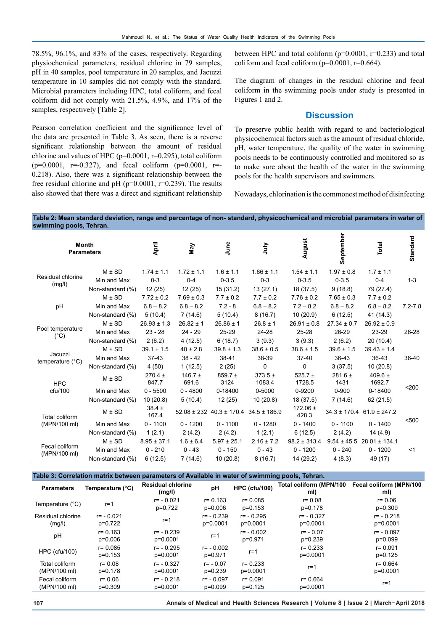78.5%, 96.1%, and 83% of the cases, respectively. Regarding physiochemical parameters, residual chlorine in 79 samples, pH in 40 samples, pool temperature in 20 samples, and Jacuzzi temperature in 10 samples did not comply with the standard. Microbial parameters including HPC, total coliform, and fecal coliform did not comply with 21.5%, 4.9%, and 17% of the samples, respectively [Table 2].

Pearson correlation coefficient and the significance level of the data are presented in Table 3. As seen, there is a reverse significant relationship between the amount of residual chlorine and values of HPC (p=0.0001, r=0.295), total coliform  $(p=0.0001, r=-0.327)$ , and fecal coliform  $(p=0.0001, r=-1.50)$ 0.218). Also, there was a significant relationship between the free residual chlorine and pH ( $p=0.0001$ ,  $r=0.239$ ). The results also showed that there was a direct and significant relationship between HPC and total coliform  $(p=0.0001, r=0.233)$  and total coliform and fecal coliform  $(p=0.0001, r=0.664)$ .

The diagram of changes in the residual chlorine and fecal coliform in the swimming pools under study is presented in Figures 1 and 2.

# **Discussion**

To preserve public health with regard to and bacteriological physicochemical factors such as the amount of residual chloride, pH, water temperature, the quality of the water in swimming pools needs to be continuously controlled and monitored so as to make sure about the health of the water in the swimming pools for the health supervisors and swimmers.

Nowadays, chlorination is the commonest method of disinfecting

#### **Table 2: Mean standard deviation, range and percentage of non- standard, physicochemical and microbial parameters in water of swimming pools, Tehran.**

| September<br>August<br>Total<br>April<br>June<br><b>Month</b><br>Vay<br><b>Slnr</b><br><b>Parameters</b>                                                                                          | <b>Standard</b> |
|---------------------------------------------------------------------------------------------------------------------------------------------------------------------------------------------------|-----------------|
| $M \pm SD$<br>$1.72 \pm 1.1$<br>$1.6 \pm 1.1$<br>$1.66 \pm 1.1$<br>$1.54 \pm 1.1$<br>$1.97 \pm 0.8$<br>$1.7 \pm 1.1$<br>$1.74 \pm 1.1$                                                            |                 |
| Residual chlorine<br>$0 - 3$<br>$0 - 4$<br>$0 - 3.5$<br>$0 - 3$<br>$0 - 3.5$<br>$0 - 3.5$<br>Min and Max<br>$0 - 4$                                                                               | $1 - 3$         |
| (mg/l)<br>12(25)<br>12(25)<br>15(31.2)<br>13(27.1)<br>18(37.5)<br>9(18.8)<br>79 (27.4)<br>Non-standard (%)                                                                                        |                 |
| $M \pm SD$<br>$7.72 \pm 0.2$<br>$7.69 \pm 0.3$<br>$7.7 \pm 0.2$<br>$7.76 \pm 0.2$<br>$7.65 \pm 0.3$<br>$7.7 \pm 0.2$<br>$7.7 \pm 0.2$                                                             |                 |
| $6.8 - 8.2$<br>$6.8 - 8.2$<br>$6.8 - 8.2$<br>$7.2 - 8$<br>$6.8 - 8.2$<br>$7.2 - 8.2$<br>$6.8 - 8.2$<br>pH<br>Min and Max                                                                          | $7.2 - 7.8$     |
| 5(10.4)<br>7(14.6)<br>5(10.4)<br>8(16.7)<br>10(20.9)<br>6(12.5)<br>41 (14.3)<br>Non-standard (%)                                                                                                  |                 |
| $M \pm SD$<br>$26.8 \pm 1$<br>$26.93 \pm 1.3$<br>$26.82 \pm 1$<br>$26.86 \pm 1$<br>$26.91 \pm 0.8$<br>$27.34 \pm 0.7$<br>$26.92 \pm 0.9$                                                          |                 |
| Pool temperature<br>24-28<br>23-29<br>Min and Max<br>$23 - 28$<br>$24 - 29$<br>$25 - 29$<br>$25 - 28$<br>26-29<br>$(^{\circ}C)$                                                                   | 26-28           |
| 3(9.3)<br>2(6.2)<br>4(12.5)<br>6(18.7)<br>3(9.3)<br>2(6.2)<br>20(10.4)<br>Non-standard (%)                                                                                                        |                 |
| $M \pm SD$<br>$39.8 \pm 1.3$<br>$39.1 \pm 1.5$<br>$40 \pm 2.8$<br>$38.6 \pm 0.5$<br>$38.6 \pm 1.5$<br>$39.6 \pm 1.5$<br>$39.43 \pm 1.4$                                                           |                 |
| Jacuzzi<br>$37-43$<br>38-41<br>$37-40$<br>36-43<br>36-43<br>Min and Max<br>$38 - 42$<br>38-39<br>temperature (°C)                                                                                 | 36-40           |
| 2(25)<br>$\mathbf 0$<br>0<br>10(20.8)<br>Non-standard (%)<br>4(50)<br>1(12.5)<br>3(37.5)                                                                                                          |                 |
| $373.5 \pm$<br>409.6 $\pm$<br>$270.4 \pm$<br>$146.7 \pm$<br>$859.7 \pm$<br>$525.7 \pm$<br>$281.6 \pm$<br>$M \pm SD$<br>847.7<br>691.6<br>3124<br>1083.4<br>1728.5<br>1431<br>1692.7<br><b>HPC</b> |                 |
| $0 - 5500$<br>$0 - 4800$<br>0-18400<br>0-5000<br>0-9200<br>$0 - 900$<br>0-18400<br>cfu/100<br>Min and Max                                                                                         | $200$           |
| 10(20.8)<br>10(20.8)<br>Non-standard (%)<br>5(10.4)<br>12(25)<br>18(37.5)<br>7(14.6)<br>62(21.5)                                                                                                  |                 |
| $38.4 \pm$<br>$172.06 \pm$<br>$M \pm SD$<br>$52.08 \pm 232$ 40.3 ± 170.4<br>$34.5 \pm 186.9$<br>$34.3 \pm 170.4$ 61.9 ± 247.2<br>428.3<br>167.4<br>Total coliform                                 |                 |
| $0 - 1100$<br>(MPN/100 ml)<br>$0 - 1100$<br>$0 - 1200$<br>$0 - 1100$<br>$0 - 1280$<br>$0 - 1400$<br>$0 - 1400$<br>Min and Max                                                                     | < 500           |
| Non-standard (%)<br>1(2.1)<br>1(2.1)<br>6(12.5)<br>2(4.2)<br>2(4.2)<br>2(4.2)<br>14(4.9)                                                                                                          |                 |
| $M \pm SD$<br>$8.95 \pm 37.1$<br>$1.6 \pm 6.4$<br>$5.97 \pm 25.1$<br>$2.16 \pm 7.2$<br>$98.2 \pm 313.4$<br>$9.54 \pm 45.5$<br>$28.01 \pm 134.1$                                                   |                 |
| Fecal coliform<br>$0 - 1200$<br>Min and Max<br>$0 - 210$<br>$0 - 43$<br>$0 - 150$<br>$0 - 43$<br>$0 - 240$<br>$0 - 1200$<br>(MPN/100 ml)                                                          | $<$ 1           |
| 6(12.5)<br>7(14.6)<br>10(20.8)<br>8(16.7)<br>14 (29.2)<br>4(8.3)<br>49 (17)<br>Non-standard (%)                                                                                                   |                 |

**Table 3: Correlation matrix between parameters of Available in water of swimming pools, Tehran. Residual chlorine** 

| <b>Parameters</b>              | Temperature (°C)         | <b>Residual chlorine</b><br>(mg/l) | рH                        | <b>HPC (cfu/100)</b>     | Total coliform (MPN/100<br>ml) | Fecal coliform (MPN/100<br>ml) |
|--------------------------------|--------------------------|------------------------------------|---------------------------|--------------------------|--------------------------------|--------------------------------|
| Temperature (°C)               | $r = 1$                  | $r = -0.021$<br>p=0.722            | $r = 0.163$<br>$p=0.006$  | $r = 0.085$<br>$p=0.153$ | $r = 0.08$<br>p=0.178          | $r = 0.06$<br>$p=0.309$        |
| Residual chlorine<br>(mg/l)    | $r = -0.021$<br>p=0.722  | r=1                                | $r = -0.239$<br>p=0.0001  | $r = -0.295$<br>p=0.0001 | $r = -0.327$<br>p=0.0001       | $r = -0.218$<br>p=0.0001       |
| pH                             | $r = 0.163$<br>p=0.006   | $r = -0.239$<br>$p=0.0001$         | r=1                       | $r = -0.002$<br>p=0.971  | $r = -0.07$<br>p=0.239         | $r = -0.097$<br>p=0.099        |
| <b>HPC</b> (cfu/100)           | $r = 0.085$<br>$p=0.153$ | $r = -0.295$<br>p=0.0001           | $r = -0.002$<br>p=0.971   | $r = 1$                  | $r = 0.233$<br>p=0.0001        | $r = 0.091$<br>$p=0.125$       |
| Total coliform<br>(MPN/100 ml) | $r = 0.08$<br>p=0.178    | $r = -0.327$<br>$p=0.0001$         | $r = -0.07$<br>$p=0.239$  | $r = 0.233$<br>p=0.0001  | $r = 1$                        | $r = 0.664$<br>p=0.0001        |
| Fecal coliform<br>(MPN/100 ml) | $r = 0.06$<br>$p=0.309$  | $r = -0.218$<br>p=0.0001           | $r = -0.097$<br>$p=0.099$ | $r = 0.091$<br>$p=0.125$ | $r = 0.664$<br>$p=0.0001$      | r=1                            |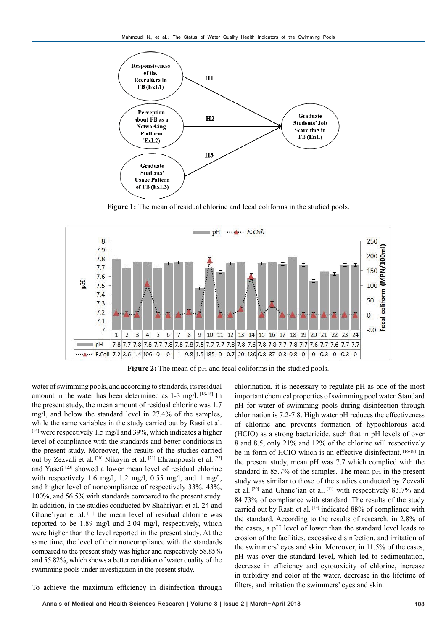

**Figure 1:** The mean of residual chlorine and fecal coliforms in the studied pools.



**Figure 2:** The mean of pH and fecal coliforms in the studied pools.

water of swimming pools, and according to standards, its residual amount in the water has been determined as 1-3 mg/l. [16-18] In the present study, the mean amount of residual chlorine was 1.7 mg/l, and below the standard level in 27.4% of the samples, while the same variables in the study carried out by Rasti et al. [19] were respectively 1.5 mg/l and 39%, which indicates a higher level of compliance with the standards and better conditions in the present study. Moreover, the results of the studies carried out by Zezvali et al. [20] Nikayin et al. [21] Ehrampoush et al. [22] and Yusefi [23] showed a lower mean level of residual chlorine with respectively 1.6 mg/l, 1.2 mg/l, 0.55 mg/l, and 1 mg/l, and higher level of noncompliance of respectively 33%, 43%, 100%, and 56.5% with standards compared to the present study. In addition, in the studies conducted by Shahriyari et al. 24 and Ghane'iyan et al. [11] the mean level of residual chlorine was reported to be 1.89 mg/l and 2.04 mg/l, respectively, which were higher than the level reported in the present study. At the same time, the level of their noncompliance with the standards compared to the present study was higher and respectively 58.85% and 55.82%, which shows a better condition of water quality of the swimming pools under investigation in the present study.

chlorination, it is necessary to regulate pH as one of the most important chemical properties of swimming pool water. Standard pH for water of swimming pools during disinfection through chlorination is 7.2-7.8. High water pH reduces the effectiveness of chlorine and prevents formation of hypochlorous acid (HCIO) as a strong bactericide, such that in pH levels of over 8 and 8.5, only 21% and 12% of the chlorine will respectively be in form of HCIO which is an effective disinfectant. [16-18] In the present study, mean pH was 7.7 which complied with the standard in 85.7% of the samples. The mean pH in the present study was similar to those of the studies conducted by Zezvali et al. [20] and Ghane'ian et al. [11] with respectively 83.7% and 84.73% of compliance with standard. The results of the study carried out by Rasti et al. [19] indicated 88% of compliance with the standard. According to the results of research, in 2.8% of the cases, a pH level of lower than the standard level leads to erosion of the facilities, excessive disinfection, and irritation of the swimmers' eyes and skin. Moreover, in 11.5% of the cases, pH was over the standard level, which led to sedimentation, decrease in efficiency and cytotoxicity of chlorine, increase in turbidity and color of the water, decrease in the lifetime of filters, and irritation the swimmers' eyes and skin.

To achieve the maximum efficiency in disinfection through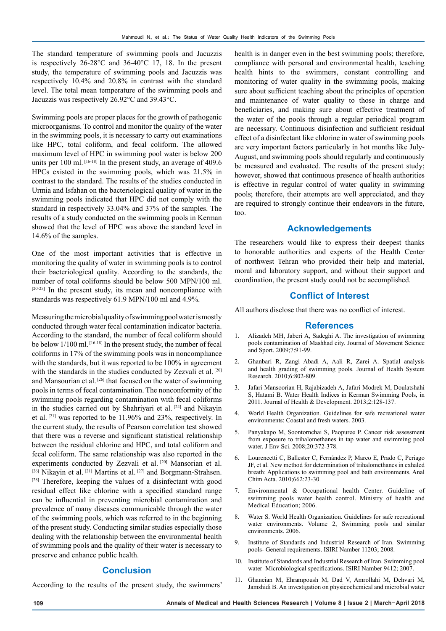The standard temperature of swimming pools and Jacuzzis is respectively 26-28°C and 36-40°C 17, 18. In the present study, the temperature of swimming pools and Jacuzzis was respectively 10.4% and 20.8% in contrast with the standard level. The total mean temperature of the swimming pools and Jacuzzis was respectively 26.92°C and 39.43°C.

Swimming pools are proper places for the growth of pathogenic microorganisms. To control and monitor the quality of the water in the swimming pools, it is necessary to carry out examinations like HPC, total coliform, and fecal coliform. The allowed maximum level of HPC in swimming pool water is below 200 units per 100 ml. [16-18] In the present study, an average of 409.6 HPCs existed in the swimming pools, which was 21.5% in contrast to the standard. The results of the studies conducted in Urmia and Isfahan on the bacteriological quality of water in the swimming pools indicated that HPC did not comply with the standard in respectively 33.04% and 37% of the samples. The results of a study conducted on the swimming pools in Kerman showed that the level of HPC was above the standard level in 14.6% of the samples.

One of the most important activities that is effective in monitoring the quality of water in swimming pools is to control their bacteriological quality. According to the standards, the number of total coliforms should be below 500 MPN/100 ml.  $[20-25]$  In the present study, its mean and noncompliance with standards was respectively 61.9 MPN/100 ml and 4.9%.

Measuring the microbial quality of swimming pool water is mostly conducted through water fecal contamination indicator bacteria. According to the standard, the number of fecal coliform should be below  $1/100$  ml. [16-18] In the present study, the number of fecal coliforms in 17% of the swimming pools was in noncompliance with the standards, but it was reported to be 100% in agreement with the standards in the studies conducted by Zezvali et al. [20] and Mansourian et al. [26] that focused on the water of swimming pools in terms of fecal contamination. The nonconformity of the swimming pools regarding contamination with fecal coliforms in the studies carried out by Shahriyari et al. [24] and Nikayin et al. [21] was reported to be 11.96% and 23%, respectively. In the current study, the results of Pearson correlation test showed that there was a reverse and significant statistical relationship between the residual chlorine and HPC, and total coliform and fecal coliform. The same relationship was also reported in the experiments conducted by Zezvali et al. [20] Mansorian et al. [26] Nikayin et al. <sup>[21]</sup> Martins et al. <sup>[27]</sup> and Borgmann-Strahsen. [28] Therefore, keeping the values of a disinfectant with good residual effect like chlorine with a specified standard range can be influential in preventing microbial contamination and prevalence of many diseases communicable through the water of the swimming pools, which was referred to in the beginning of the present study. Conducting similar studies especially those dealing with the relationship between the environmental health of swimming pools and the quality of their water is necessary to preserve and enhance public health.

# **Conclusion**

According to the results of the present study, the swimmers'

health is in danger even in the best swimming pools; therefore, compliance with personal and environmental health, teaching health hints to the swimmers, constant controlling and monitoring of water quality in the swimming pools, making sure about sufficient teaching about the principles of operation and maintenance of water quality to those in charge and beneficiaries, and making sure about effective treatment of the water of the pools through a regular periodical program are necessary. Continuous disinfection and sufficient residual effect of a disinfectant like chlorine in water of swimming pools are very important factors particularly in hot months like July-August, and swimming pools should regularly and continuously be measured and evaluated. The results of the present study; however, showed that continuous presence of health authorities is effective in regular control of water quality in swimming pools; therefore, their attempts are well appreciated, and they are required to strongly continue their endeavors in the future, too.

# **Acknowledgements**

The researchers would like to express their deepest thanks to honorable authorities and experts of the Health Center of northwest Tehran who provided their help and material, moral and laboratory support, and without their support and coordination, the present study could not be accomplished.

## **Conflict of Interest**

All authors disclose that there was no conflict of interest.

#### **References**

- 1. Alizadeh MH, Jaberi A, Sadeghi A. The investigation of swimming pools contamination of Mashhad city. Journal of Movement Science and Sport. 2009;7:91-99.
- 2. Ghanbari R, Zangi Abadi A, Aali R, Zarei A. Spatial analysis and health grading of swimming pools. Journal of Health System Research. 2010;6:802-809.
- 3. Jafari Mansoorian H, Rajabizadeh A, Jafari Modrek M, Doulatshahi S, Hatami B. Water Health Indices in Kerman Swimming Pools, in 2011. Journal of Health & Development. 2013;2:128-137.
- 4. World Health Organization. Guidelines for safe recreational water environments: Coastal and fresh waters. 2003.
- 5. Panyakapo M, Soontornchai S, Paopuree P. Cancer risk assessment from exposure to trihalomethanes in tap water and swimming pool water. J Env Sci. 2008;20:372-378.
- 6. Lourencetti C, Ballester C, Fernández P, Marco E, Prado C, Periago JF, et al. New method for determination of trihalomethanes in exhaled breath: Applications to swimming pool and bath environments. Anal Chim Acta. 2010;662:23-30.
- 7. Environmental & Occupational health Center. Guideline of swimming pools water health control. Ministry of health and Medical Education; 2006.
- 8. Water S. World Health Organization. Guidelines for safe recreational water environments. Volume 2, Swimming pools and similar environments. 2006.
- 9. Institute of Standards and Industrial Research of Iran. Swimming pools- General requirements. ISIRI Namber 11203; 2008.
- 10. Institute of Standards and Industrial Research of Iran. Swimming pool water–Microbiological specifications. ISIRI Namber 9412; 2007.
- 11. Ghaneian M, Ehrampoush M, Dad V, Amrollahi M, Dehvari M, Jamshidi B. An investigation on physicochemical and microbial water